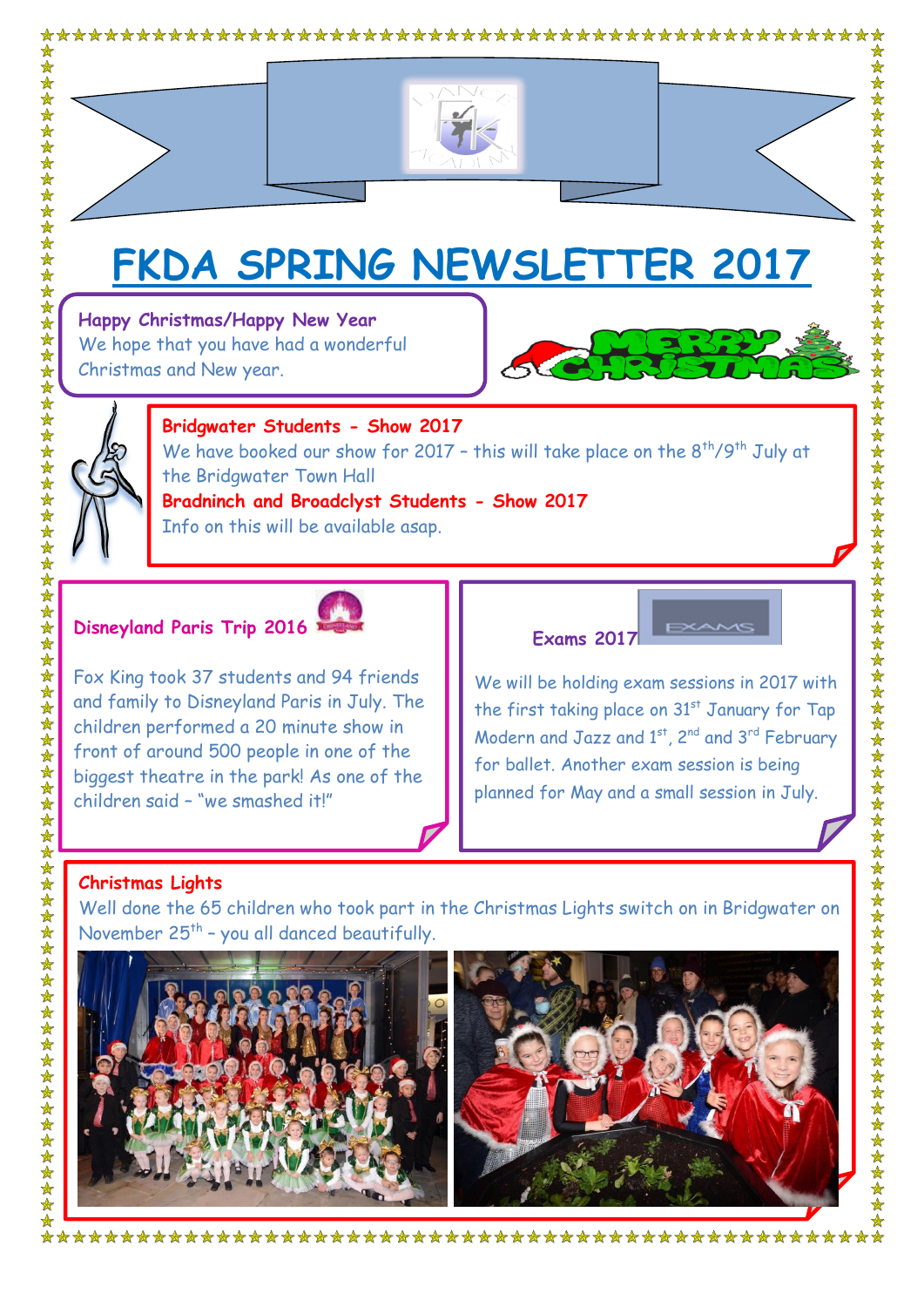

# **FKDA SPRING NEWSLETTER 2017**

**Happy Christmas/Happy New Year** We hope that you have had a wonderful Christmas and New year.





女女女女女女女女

### **Bridgwater Students - Show 2017** We have booked our show for 2017 - this will take place on the  $8<sup>th</sup>/9<sup>th</sup>$  July at the Bridgwater Town Hall **Bradninch and Broadclyst Students - Show 2017** Info on this will be available asap.

## **Disneyland Paris Trip 2016**



Fox King took 37 students and 94 friends and family to Disneyland Paris in July. The children performed a 20 minute show in front of around 500 people in one of the biggest theatre in the park! As one of the children said – "we smashed it!"

#### **Exams 2017**

We will be holding exam sessions in 2017 with the first taking place on 31<sup>st</sup> January for Tap Modern and Jazz and  $1^{st}$ ,  $2^{nd}$  and  $3^{rd}$  February for ballet. Another exam session is being planned for May and a small session in July.

# **Christmas Lights**

Well done the 65 children who took part in the Christmas Lights switch on in Bridgwater on November  $25<sup>th</sup>$  - you all danced beautifully.



\*\*\*\*\*\*\*\*\*\*\*\*\*\*\*\*\*\*\*\*\*\*\*\*\*\*\*\*\*\*\*\*\*\*\*\*\*